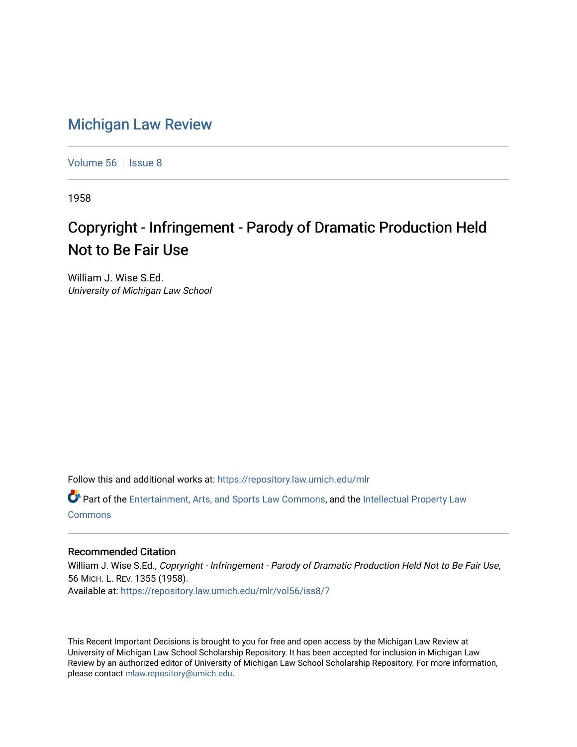## [Michigan Law Review](https://repository.law.umich.edu/mlr)

[Volume 56](https://repository.law.umich.edu/mlr/vol56) | [Issue 8](https://repository.law.umich.edu/mlr/vol56/iss8)

1958

## Copryright - Infringement - Parody of Dramatic Production Held Not to Be Fair Use

William J. Wise S.Ed. University of Michigan Law School

Follow this and additional works at: [https://repository.law.umich.edu/mlr](https://repository.law.umich.edu/mlr?utm_source=repository.law.umich.edu%2Fmlr%2Fvol56%2Fiss8%2F7&utm_medium=PDF&utm_campaign=PDFCoverPages) 

Part of the [Entertainment, Arts, and Sports Law Commons](http://network.bepress.com/hgg/discipline/893?utm_source=repository.law.umich.edu%2Fmlr%2Fvol56%2Fiss8%2F7&utm_medium=PDF&utm_campaign=PDFCoverPages), and the [Intellectual Property Law](http://network.bepress.com/hgg/discipline/896?utm_source=repository.law.umich.edu%2Fmlr%2Fvol56%2Fiss8%2F7&utm_medium=PDF&utm_campaign=PDFCoverPages) [Commons](http://network.bepress.com/hgg/discipline/896?utm_source=repository.law.umich.edu%2Fmlr%2Fvol56%2Fiss8%2F7&utm_medium=PDF&utm_campaign=PDFCoverPages)

## Recommended Citation

William J. Wise S.Ed., Copryright - Infringement - Parody of Dramatic Production Held Not to Be Fair Use, 56 MICH. L. REV. 1355 (1958). Available at: [https://repository.law.umich.edu/mlr/vol56/iss8/7](https://repository.law.umich.edu/mlr/vol56/iss8/7?utm_source=repository.law.umich.edu%2Fmlr%2Fvol56%2Fiss8%2F7&utm_medium=PDF&utm_campaign=PDFCoverPages)

This Recent Important Decisions is brought to you for free and open access by the Michigan Law Review at University of Michigan Law School Scholarship Repository. It has been accepted for inclusion in Michigan Law Review by an authorized editor of University of Michigan Law School Scholarship Repository. For more information, please contact [mlaw.repository@umich.edu.](mailto:mlaw.repository@umich.edu)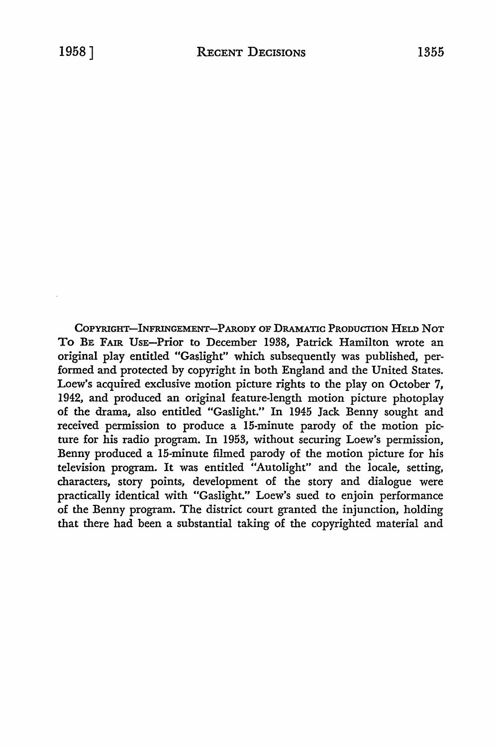COPYRIGHT-INFRINGEMENT-PARODY OF DRAMATIC PRODUCTION HELD NOT To BE FAIR UsE-Prior to December 1938, Patrick Hamilton wrote an original play entitled "Gaslight" which subsequently was published, performed and protected by copyright in both England and the United States. Loew's acquired exclusive motion picture rights to the play on October 7, 1942, and produced an original feature-length motion picture photoplay of the drama, also entitled "Gaslight." In 1945 Jack Benny sought and received permission to produce a 15-minute parody of the motion picture for his radio program. In 1953, without securing Loew's permission, Benny produced a 15-minute filmed parody of the motion picture for his television program. It was entitled "Autolight" and the locale, setting, characters, story points, development of the story and dialogue were practically identical with "Gaslight." Loew's sued to enjoin performance of the Benny program. The district court granted the injunction, holding that there had been a substantial taking of the copyrighted material and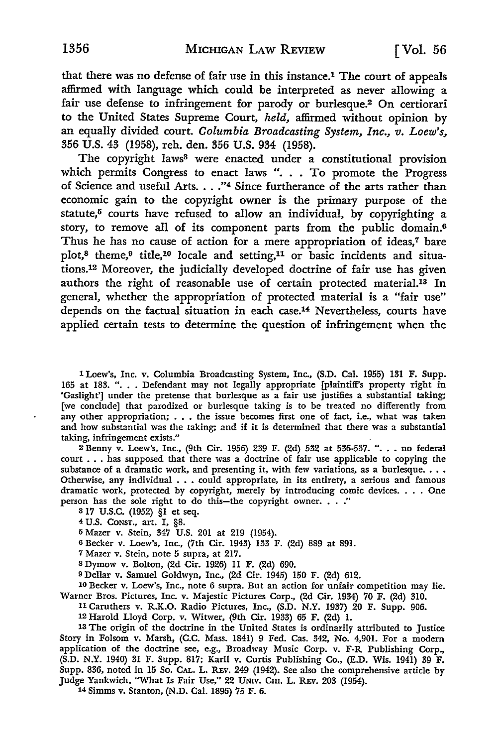that there was no defense of fair use in this instance.1 The court of appeals affirmed with language which could be interpreted as never allowing a fair use defense to infringement for parody or burlesque.2 On certiorari to the United States Supreme Court, *held,* affirmed without opinion by an equally divided court. *Columbia Broadcasting System, Inc., v. Loew's,*  356 U.S. 43 (1958), reh. den. 356 U.S. 934 (1958).

The copyright laws<sup>3</sup> were enacted under a constitutional provision which permits Congress to enact laws ". . . To promote the Progress of Science and useful Arts. . . . "4 Since furtherance of the arts rather than economic gain to the copyright owner is the primary purpose of the statute,<sup>5</sup> courts have refused to allow an individual, by copyrighting a story, to remove all of its component parts from the public domain.<sup>6</sup> Thus he has no cause of action for a mere appropriation of ideas,<sup>7</sup> bare plot,<sup>8</sup> theme,<sup>9</sup> title,<sup>10</sup> locale and setting,<sup>11</sup> or basic incidents and situations.12 Moreover, the judicially developed doctrine of fair use has given authors the right of reasonable use of certain protected material.13 In general, whether the appropriation of protected material is a "fair use" depends on the factual situation in each case.<sup>14</sup> Nevertheless, courts have applied certain tests to determine the question of infringement when the

1 Loew's, Inc. v. Columbia Broadcasting System, Inc., (S.D. Cal. 1955) 131 F. Supp. 165 at 183. ". . . Defendant may not legally appropriate [plaintiff's property right in 'Gaslight'] under the pretense that burlesque as a fair use justifies a substantial taking; [we conclude] that parodized or burlesque taking is to be treated no differently from any other appropriation; . . . the issue becomes first one of fact, i.e., what was taken and how substantial was the taking; and if it is determined that there was a substantial taking, infringement exists."

2 Benny v. Loew's, Inc., (9th Cir. 1956) 239 F. (2d) 532 at 536-537. ". . . no federal court ... has supposed that there was a doctrine of fair use applicable to copying the substance of a dramatic work, and presenting it, with few variations, as a burlesque.... Otherwise, any individual ... could appropriate, in its entirety, a serious and famous dramatic work, protected by copyright, merely by introducing comic devices. . • . One person has the sole right to do this-the copyright owner.  $\ldots$ ."

317 U.S.C. (1952) §1 et seq.

<sup>4</sup>U.S. CONST., art. I, §8.

<sup>5</sup>Mazer v. Stein, 347 U.S. 201 at 219 (1954).

<sup>6</sup>Becker v. Loew's, Inc., (7th Cir. 1943) 133 F. (2d) 889 at 891.

<sup>7</sup>Mazer v. Stein, note 5 supra, at 217.

8 Dymow v. Bolton, (2d Cir. 1926) 11 F. (2d) 690.

9 Dellar v. Samuel Goldwyn, Inc., (2d Cir. 1945) 150 F. (2d) 612.

10 Becker v. Loew's, Inc., note 6 supra. But an action for unfair competition may lie. Warner Bros. Pictures, Inc. v. Majestic Pictures Corp., (2d Cir. 1934) 70 F. (2d) 310.

11 Caruthers v. R.K.O. Radio Pictures, Inc., (S.D. N.Y. 1937) 20 F. Supp. 906.

12 Harold Lloyd Corp. v. Witwer, (9th Cir. 1933) 65 F. (2d) I.

13 The origin of the doctrine in the United States is ordinarily attributed to Justice Story in Folsom v. Marsh, (C.C. Mass. 1841) 9 Fed. Cas. 342, No. 4,901. For a modern application of the doctrine see, e.g., Broadway Music Corp. v. F-R Publishing Corp., (S.D. N.Y. 1940) 31 F. Supp. 817; Karil v. Curtis Publishing Co., (E.D. Wis. 1941) 39 F. Supp. 836, noted in 15 So. CAL. L. REv. 249 (1942). See also the comprehensive article by Judge Yankwich, "What Is Fair Use," 22 UNrv. CHI. L. REv. 203 (1954).

14 Simms v. Stanton, (N.D. Cal. 1896) 75 F. 6.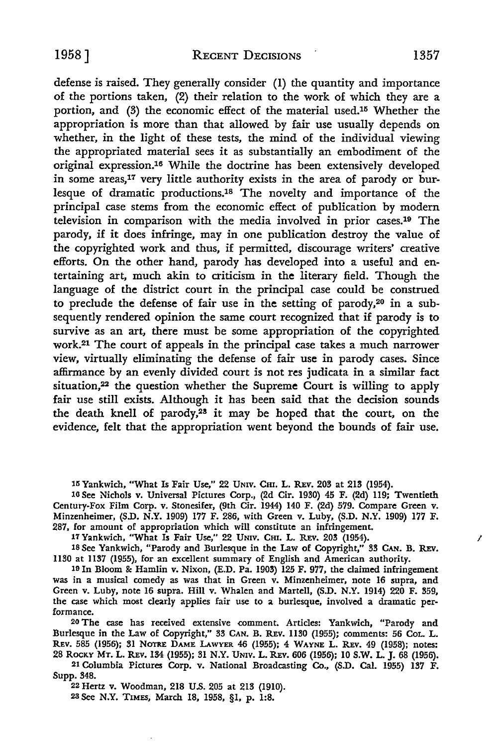defense is raised. They generally consider (1) the quantity and importance of the portions taken, (2) their relation to the work of which they are a portion, and (3) the economic effect of the material used.15 Whether the appropriation is more than that allowed by fair use usually depends on whether, in the light of these tests, the mind of the individual viewing the appropriated material sees it as substantially an embodiment of the original expression.16 While the doctrine has been extensively developed in some areas,17 very little authority exists in the area of parody or burlesque of dramatic productions.18 The novelty and importance of the principal case stems from the economic effect of publication by modern television in comparison with the media involved in prior cases.19 The parody, if it does infringe, may in one publication destroy the value of the copyrighted work and thus, if permitted, discourage writers' creative efforts. On the other hand, parody has developed into a useful and entertaining *art,* much akin to criticism in the literary field. Though the language of the district court in the principal case could be construed to preclude the defense of fair use in the setting of parody,20 in a subsequently rendered opinion the same court recognized that if parody is to survive as an art, there must be some appropriation of the copyrighted work.21 The court of appeals in the principal case takes a much narrower view, virtually eliminating the defense of fair use in parody cases. Since affirmance by an evenly divided court is not res judicata in a similar fact situation,<sup>22</sup> the question whether the Supreme Court is willing to apply fair use still exists. Although it has been said that the decision sounds the death knell of parody,28 it may be hoped that the court, on the evidence, felt that the appropriation went beyond the bounds of fair use.

15 Yankwich, "What Is Fair Use," 22 UNIV. CHI. L. REV. 203 at 213 (1954).

16 See Nichols v. Universal Pictures Corp., (2d Cir. 1930) 45 F. (2d) 119; Twentieth Century-Fox Film Corp. v. Stonesifer, (9th Cir. 1944) 140 F. (2d) 579. Compare Green v. Minzenheimer, (S.D. N.Y. 1909) 177 F. 286, with Green v. Luby, (S.D. N.Y. 1909) 177 F. 287, for amount of appropriation which will constitute an infringement.

17 Yankwich, "What Is Fair Use," 22 UNIV. CHI. L. REV. 203 (1954).

18 See Yankwich, "Parody and Burlesque in the Law of Copyright," 33 CAN. B. REV. 1130 at 1137 (1955), for an excellent summary of English and American authority.

19 In Bloom & Hamlin v. Nixon, (E.D. Pa. 1903) 125 F. 977, the claimed infringement was in a musical comedy as was that in Green v. Minzenheimer, note 16 supra, and Green v. Luby, note 16 supra. Hill v. Whalen and Martell, (S.D. N.Y. 1914) 220 F. 359, the case which most clearly applies fair use to a burlesque, involved a dramatic performance.

20 The case has received extensive comment. Articles: Yankwich, "Parody and Burlesque in the Law of Copyright," 33 CAN. B. REV. 1130 (1955); comments: 56 CoL. L. REV. 585 (1956); 31 NOTRE DAME LAWYER 46 (1955); 4 WAYNE L. REV. 49 (1958); notes: 28 ROCKY MT. L. R.Ev. 134 (1955); 31 N.Y. UNIV. L. R.Ev. 606 (1956); 10 **S.W.** L. J. 68 (1956).

21 Columbia Pictures Corp. v. National Broadcasting Co., (S.D. Cal. 1955) 137 F. Supp. 348.

22 Hertz v. Woodman, 218 U.S. 205 at 213 (1910). 2a See N.Y. TIMES, March 18, 1958, §1, p. 1:8.